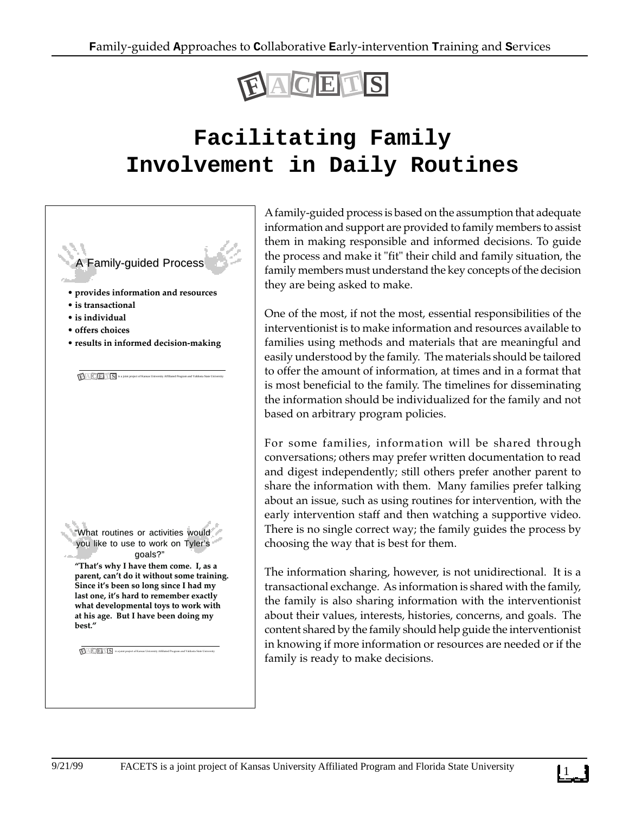

## **Facilitating Family Involvement in Daily Routines**



A family-guided process is based on the assumption that adequate information and support are provided to family members to assist them in making responsible and informed decisions. To guide the process and make it "fit" their child and family situation, the family members must understand the key concepts of the decision they are being asked to make.

One of the most, if not the most, essential responsibilities of the interventionist is to make information and resources available to families using methods and materials that are meaningful and easily understood by the family. The materials should be tailored to offer the amount of information, at times and in a format that is most beneficial to the family. The timelines for disseminating the information should be individualized for the family and not based on arbitrary program policies.

For some families, information will be shared through conversations; others may prefer written documentation to read and digest independently; still others prefer another parent to share the information with them. Many families prefer talking about an issue, such as using routines for intervention, with the early intervention staff and then watching a supportive video. There is no single correct way; the family guides the process by choosing the way that is best for them.

The information sharing, however, is not unidirectional. It is a transactional exchange. As information is shared with the family, the family is also sharing information with the interventionist about their values, interests, histories, concerns, and goals. The content shared by the family should help guide the interventionist in knowing if more information or resources are needed or if the family is ready to make decisions.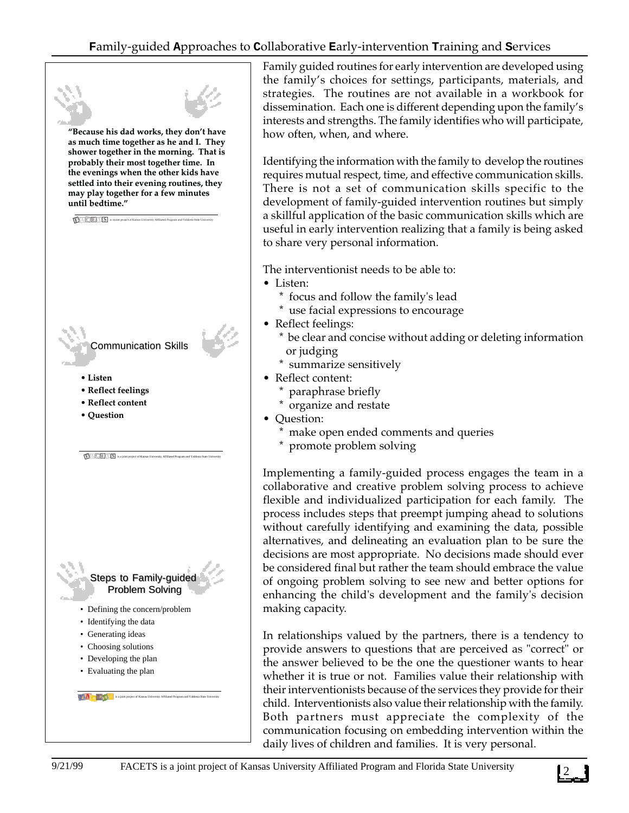

Family guided routines for early intervention are developed using the family's choices for settings, participants, materials, and strategies. The routines are not available in a workbook for dissemination. Each one is different depending upon the family's interests and strengths. The family identifies who will participate, how often, when, and where.

Identifying the information with the family to develop the routines requires mutual respect, time, and effective communication skills. There is not a set of communication skills specific to the development of family-guided intervention routines but simply a skillful application of the basic communication skills which are useful in early intervention realizing that a family is being asked to share very personal information.

The interventionist needs to be able to:

- Listen:
	- \* focus and follow the family's lead
	- \* use facial expressions to encourage
- Reflect feelings:
	- \* be clear and concise without adding or deleting information or judging
	- \* summarize sensitively
- Reflect content:
	- paraphrase briefly
	- \* organize and restate
- Question:
	- \* make open ended comments and queries
	- \* promote problem solving

Implementing a family-guided process engages the team in a collaborative and creative problem solving process to achieve flexible and individualized participation for each family. The process includes steps that preempt jumping ahead to solutions without carefully identifying and examining the data, possible alternatives, and delineating an evaluation plan to be sure the decisions are most appropriate. No decisions made should ever be considered final but rather the team should embrace the value of ongoing problem solving to see new and better options for enhancing the child's development and the family's decision making capacity.

In relationships valued by the partners, there is a tendency to provide answers to questions that are perceived as "correct" or the answer believed to be the one the questioner wants to hear whether it is true or not. Families value their relationship with their interventionists because of the services they provide for their child. Interventionists also value their relationship with the family. Both partners must appreciate the complexity of the communication focusing on embedding intervention within the daily lives of children and families. It is very personal.

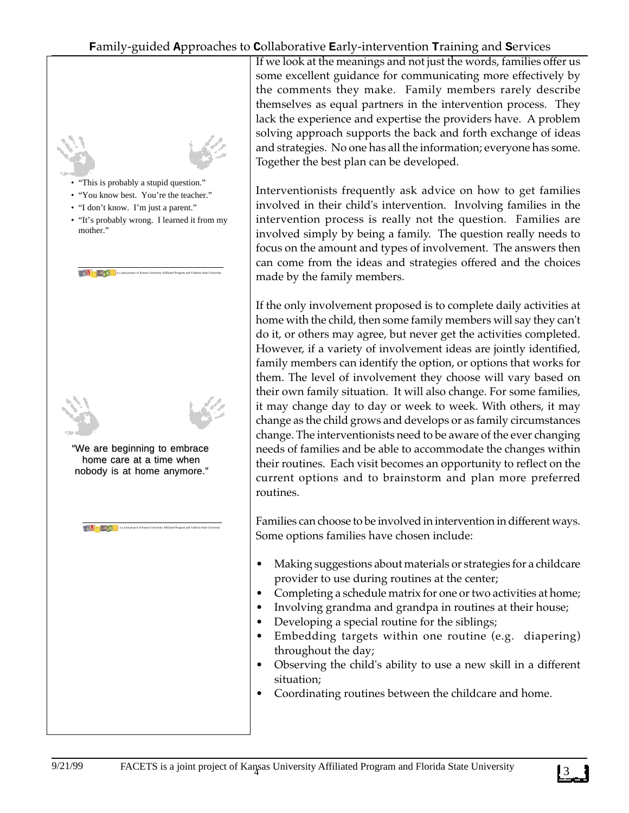

If we look at the meanings and not just the words, families offer us some excellent guidance for communicating more effectively by the comments they make. Family members rarely describe themselves as equal partners in the intervention process. They lack the experience and expertise the providers have. A problem solving approach supports the back and forth exchange of ideas and strategies. No one has all the information; everyone has some. Together the best plan can be developed.

Interventionists frequently ask advice on how to get families involved in their child's intervention. Involving families in the intervention process is really not the question. Families are involved simply by being a family. The question really needs to focus on the amount and types of involvement. The answers then can come from the ideas and strategies offered and the choices made by the family members.

If the only involvement proposed is to complete daily activities at home with the child, then some family members will say they can't do it, or others may agree, but never get the activities completed. However, if a variety of involvement ideas are jointly identified, family members can identify the option, or options that works for them. The level of involvement they choose will vary based on their own family situation. It will also change. For some families, it may change day to day or week to week. With others, it may change as the child grows and develops or as family circumstances change. The interventionists need to be aware of the ever changing needs of families and be able to accommodate the changes within their routines. Each visit becomes an opportunity to reflect on the current options and to brainstorm and plan more preferred routines.

Families can choose to be involved in intervention in different ways. Some options families have chosen include:

- Making suggestions about materials or strategies for a childcare provider to use during routines at the center;
- Completing a schedule matrix for one or two activities at home;
- Involving grandma and grandpa in routines at their house;
- Developing a special routine for the siblings;
- Embedding targets within one routine (e.g. diapering) throughout the day;
- Observing the child's ability to use a new skill in a different situation;
- Coordinating routines between the childcare and home.